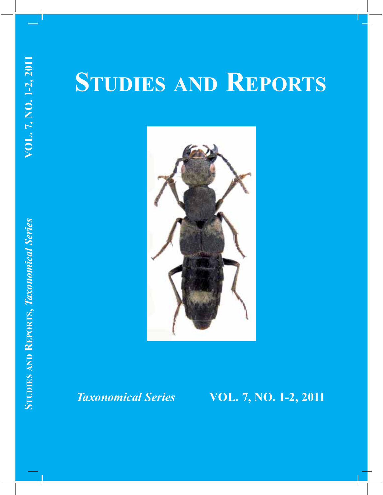# **STUDIES AND REPORTS**



## *Taxonomical Series* **VOL. 7, NO. 1-2, 2011**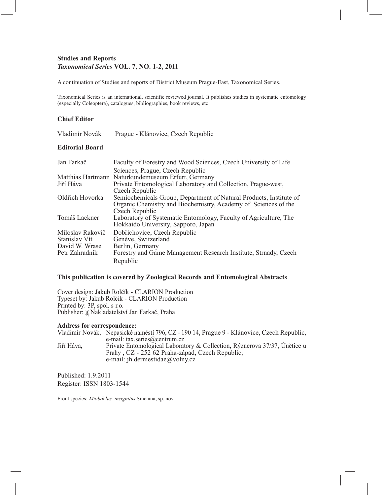#### **Studies and Reports**  *Taxonomical Series* **VOL. 7, NO. 1-2, 2011**

A continuation of Studies and reports of District Museum Prague-East, Taxonomical Series.

Taxonomical Series is an international, scientific reviewed journal. It publishes studies in systematic entomology (especially Coleoptera), catalogues, bibliographies, book reviews, etc

#### **Chief Editor**

#### **Editorial Board**

| Jan Farkač       | Faculty of Forestry and Wood Sciences, Czech University of Life    |
|------------------|--------------------------------------------------------------------|
|                  | Sciences, Prague, Czech Republic                                   |
|                  | Matthias Hartmann Naturkundemuseum Erfurt, Germany                 |
| Jiří Háva        | Private Entomological Laboratory and Collection, Prague-west,      |
|                  | Czech Republic                                                     |
| Oldřich Hovorka  | Semiochemicals Group, Department of Natural Products, Institute of |
|                  | Organic Chemistry and Biochemistry, Academy of Sciences of the     |
|                  | Czech Republic                                                     |
| Tomáš Lackner    | Laboratory of Systematic Entomology, Faculty of Agriculture, The   |
|                  | Hokkaido University, Sapporo, Japan                                |
| Miloslav Rakovič | Dobřichovice, Czech Republic                                       |
| Stanislav Vít    | Genève, Switzerland                                                |
| David W. Wrase   | Berlin, Germany                                                    |
| Petr Zahradník   | Forestry and Game Management Research Institute, Strnady, Czech    |
|                  | Republic                                                           |

#### **This publication is covered by Zoological Records and Entomological Abstracts**

Cover design: Jakub Rolčík - CLARION Production Typeset by: Jakub Rolčík - CLARION Production Printed by: 3P, spol. s r.o. Publisher:  $\frac{1}{2}$ Nakladatelství Jan Farkač, Praha

#### **Address for correspondence:**

Vladimír Novák, Nepasické náměstí 796, CZ - 190 14, Prague 9 - Klánovice, Czech Republic, e-mail: tax.series@centrum.cz<br>Jiří Háva, Private Entomological Laborat Private Entomological Laboratory & Collection, Rýznerova 37/37, Únětice u Prahy , CZ - 252 62 Praha-západ, Czech Republic; e-mail: jh.dermestidae@volny.cz

Published: 1.9.2011 Register: ISSN 1803-1544

Front species: *Miobdelus insignitus* Smetana, sp. nov.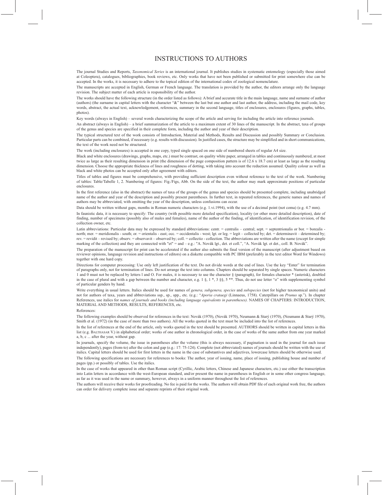#### INSTRUCTIONS TO AUTHORS

The journal Studies and Reports, *Taxonomical Series* is an international journal. It publishes studies in systematic entomology (especially those aimed at Coleoptera), catalogues, bibliographies, book reviews, etc. Only works that have not been published or submitted for print somewhere else can be accepted. In the works, it is necessary to adhere to the topical edition of the international codex of zoological nomenclature.

The manuscripts are accepted in English, German or French language. The translation is provided by the author, the editors arrange only the language revision. The subject matter of each article is responsibility of the author.

The works should have the following structure (in the order listed as follows): A brief and accurate title in the main language, name and surname of author (authors) (the surname in capital letters with the character "&" between the last but one author and last author, the address, including the mail code, key words, abstract, the actual text, acknowledgement, references, summary in the second language, titles of enclosures, enclosures (figures, graphs, tables, photos).

Key words (always in English) – several words characterizing the scope of the article and serving for including the article into reference journals.

An abstract (always in English) – a brief summarization of the article to a maximum extent of 30 lines of the manuscript. In the abstract, taxa of groups of the genus and species are specified in their complete form, including the author and year of their description.

The typical structured text of the work consists of Introduction, Material and Methods, Results and Discussion and possibly Summary or Conclusion. Particular parts can be combined, if necessary (e.g. results with discussion). In justified cases, the structure may be simplified and in short communications, the text of the work need not be structured.

The work (including enclosures) is accepted in one copy, typed single spaced on one side of numbered sheets of regular A4 size.

Black and white enclosures (drawings, graphs, maps, etc.) must be contrast, on quality white paper, arranged in tables and continuously numbered, at most twice as large as their resulting dimension in print (the dimension of the page composition pattern is of 12.6 x 18.7 cm) at least as large as the resulting dimension. Choose the appropriate thickness of lines and roughness of dotting, with taking into account the reduction assumed. Quality colour as well as black and white photos can be accepted only after agreement with editors.

Titles of tables and figures must be comprehensive, with providing sufficient description even without reference to the text of the work. Numbering of tables: Table/Tabelle 1, 2. Numbering of figures: Fig./Figs, Abb. On the side of the text, the author may mark approximate positions of particular enclosures.

In the first reference (also in the abstract) the names of taxa of the groups of the genus and species should be presented complete, including unabridged name of the author and year of the description and possibly present parentheses. In further text, in repeated references, the generic names and names of authors may be abbreviated, with omitting the year of the description, unless confusions can occur.

Data should be written without gaps, months in Roman numeric characters (e.g. 1.vi.1994), with the use of a decimal point (not coma) (e.g. 4.7 mm). In faunistic data, it is necessary to specify: The country (with possible more detailed specification), locality (or other more detailed description), date of finding, number of specimens (possibly also of males and females), name of the author of the finding, of identification, of identification revision, of the collection owner, etc.

Latin abbreviations: Particular data may be expressed by standard abbreviations: centr. = centralis – central; sept. = septentrionalis or bor. = borealis -<br>north; mer. = meridionalis - south; or. = orientalis - east; occ. rev. = revidit – revised by; observ. = observavit – observed by; coll. = collectio - collection. The abbreviations are written after the name (except for simple marking of the collection) and they are connected with "et" = and - e.g.: "A. Novák lgt., det. et coll.", "A. Novák lgt. et det., coll. B. Novák"

The preparation of the manuscript for print can be accelerated if the author also submits the final version of the manuscript (after adjustment based on reviewer opinions, language revision and instructions of editors) on a diskette compatible with PC IBM (preferably in the text editor Word for Windows) together with one hard copy.

Directions for computer processing: Use only left justification of the text. Do not divide words at the end of lines. Use the key "Enter" for termination of paragraphs only, not for termination of lines. Do not arrange the text into columns. Chapters should be separated by single spaces. Numeric characters 1 and 0 must not be replaced by letters 1 and O. For males, it is necessary to use the character § (paragraph), for females character \* (asterisk), doubled<br>in the case of plural and with a gap between the number and charac of particular genders by hand.

Write everything in usual letters. Italics should be used for names of *genera, subgenera, species* and *subspecies* (not for higher taxonomical units) and not for authors of taxa, years and abbreviations ssp., sp., spp., etc. (e.g.: "*Aporia crataegi* (Linnaeus, 1758). Caterpillars on *Prunus* sp."). In chapter References, use italics for *names of journals and books (including language equivalents in parentheses).* NAMES OF CHAPTERS: INTRODUCTION, MATERIAL AND METHODS, RESULTS, REFERENCES, etc.

References:

The following examples should be observed for references in the text: Novák (1970), (Novák 1970), Neumann & Starý (1970), (Neumann & Starý 1970), Smith et al. (1972) (in the case of more than two authors). All the works quoted in the text must be included into the list of references.

In the list of references at the end of the article, only works quoted in the text should be presented. AUTHORS should be written in capital letters in this list (e.g. BALTHASAR V.) in alphabetical order; works of one author in chronological order, in the case of works of the same author from one year marked a, b, c ... after the year, without gap.

In journals, specify the volume, the issue in parentheses after the volume (this is always necessary, if pagination is used in the journal for each issue independently), pages (from-to) after the colon and gap (e.g.: 17: 75-124). Complete (not abbreviated) names of journals should be written with the use of italics. Capital letters should be used for first letters in the name in the case of substantives and adjectives, lowercase letters should be otherwise used. The following specifications are necessary for references to books: The author, year of issuing, name, place of issuing, publishing house and number of pages (pp.) or possibly of tables. Use the italics.

In the case of works that appeared in other than Roman script (Cyrillic, Arabic letters, Chinese and Japanese characters, etc.) use either the transcription into Latin letters in accordance with the west-European standard, and/or present the name in parentheses in English or in some other congress language, as far as it was used in the name or summary, however, always in a uniform manner throughout the list of references.

The authors will receive their works for proofreading. No fee is paid for the works. The authors will obtain PDF file of each original work free, the authors can order for delivery complete issue and separate reprints of their original work.